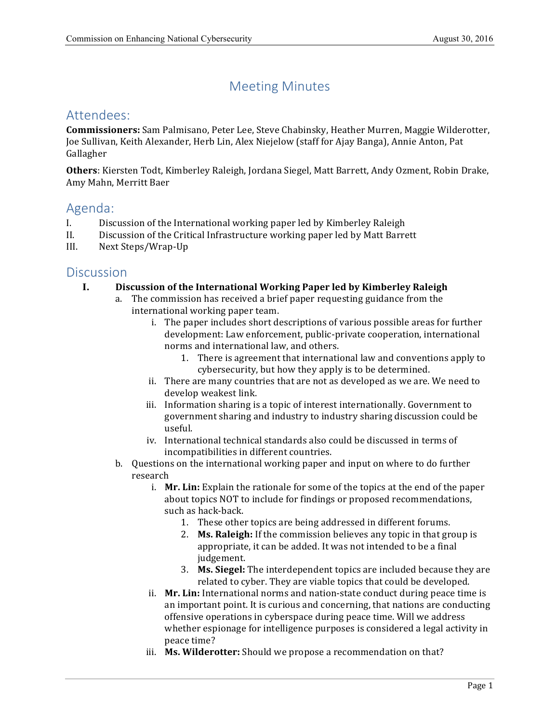# Meeting Minutes

# Attendees:

 **Commissioners:** Sam Palmisano, Peter Lee, Steve Chabinsky, Heather Murren, Maggie Wilderotter, Joe Sullivan, Keith Alexander, Herb Lin, Alex Niejelow (staff for Ajay Banga), Annie Anton, Pat Gallagher

Others: Kiersten Todt, Kimberley Raleigh, Jordana Siegel, Matt Barrett, Andy Ozment, Robin Drake, Amy Mahn, Merritt Baer

# Agenda:

- I. Discussion of the International working paper led by Kimberley Raleigh
- II. Discussion of the Critical Infrastructure working paper led by Matt Barrett
- III. Next Steps/Wrap-Up

### **Discussion**

- **I. Discussion of the International Working Paper led by Kimberley Raleigh**
	- a. The commission has received a brief paper requesting guidance from the international working paper team.
		- i. The paper includes short descriptions of various possible areas for further norms and international law, and others. development: Law enforcement, public-private cooperation, international
			- 1. There is agreement that international law and conventions apply to cybersecurity, but how they apply is to be determined.
		- ii. There are many countries that are not as developed as we are. We need to develop weakest link.
		- iii. Information sharing is a topic of interest internationally. Government to government sharing and industry to industry sharing discussion could be useful.
		- iv. International technical standards also could be discussed in terms of incompatibilities in different countries.
	- b. Questions on the international working paper and input on where to do further research
		- i. **Mr. Lin:** Explain the rationale for some of the topics at the end of the paper about topics NOT to include for findings or proposed recommendations, such as hack-back.
			- 1. These other topics are being addressed in different forums.
			- 2. Ms. Raleigh: If the commission believes any topic in that group is appropriate, it can be added. It was not intended to be a final judgement.
			- 3. **Ms. Siegel:** The interdependent topics are included because they are related to cyber. They are viable topics that could be developed.
		- ii. Mr. Lin: International norms and nation-state conduct during peace time is an important point. It is curious and concerning, that nations are conducting offensive operations in cyberspace during peace time. Will we address whether espionage for intelligence purposes is considered a legal activity in peace time?
		- iii. Ms. Wilderotter: Should we propose a recommendation on that?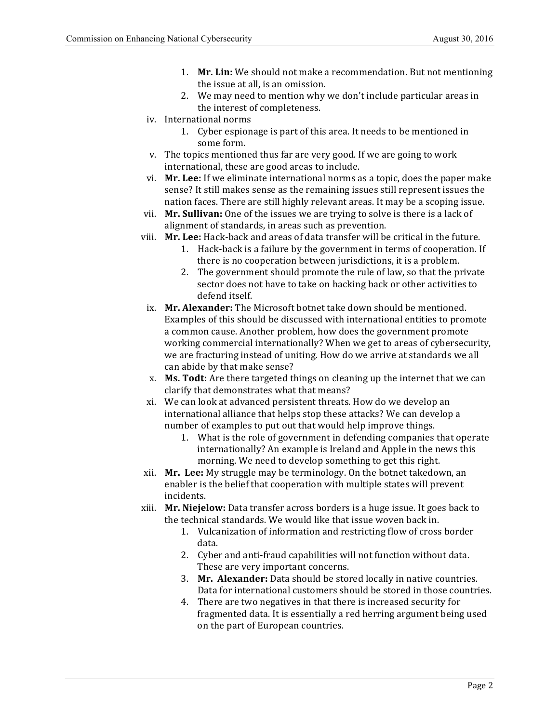- 1. Mr. Lin: We should not make a recommendation. But not mentioning the issue at all, is an omission.
- 2. We may need to mention why we don't include particular areas in the interest of completeness.
- iv. International norms
	- 1. Cyber espionage is part of this area. It needs to be mentioned in some form.
- v. The topics mentioned thus far are very good. If we are going to work international, these are good areas to include.
- vi. Mr. Lee: If we eliminate international norms as a topic, does the paper make sense? It still makes sense as the remaining issues still represent issues the nation faces. There are still highly relevant areas. It may be a scoping issue.
- vii. **Mr. Sullivan:** One of the issues we are trying to solve is there is a lack of alignment of standards, in areas such as prevention.
- viii. Mr. Lee: Hack-back and areas of data transfer will be critical in the future.
	- 1. Hack-back is a failure by the government in terms of cooperation. If there is no cooperation between jurisdictions, it is a problem.
	- 2. The government should promote the rule of law, so that the private sector does not have to take on hacking back or other activities to defend itself.
- ix. Mr. Alexander: The Microsoft botnet take down should be mentioned. Examples of this should be discussed with international entities to promote a common cause. Another problem, how does the government promote working commercial internationally? When we get to areas of cybersecurity, we are fracturing instead of uniting. How do we arrive at standards we all can abide by that make sense?
- x. **Ms. Todt:** Are there targeted things on cleaning up the internet that we can clarify that demonstrates what that means?
- xi. We can look at advanced persistent threats. How do we develop an international alliance that helps stop these attacks? We can develop a number of examples to put out that would help improve things.
	- 1. What is the role of government in defending companies that operate internationally? An example is Ireland and Apple in the news this morning. We need to develop something to get this right.
- xii. Mr. Lee: My struggle may be terminology. On the botnet takedown, an enabler is the belief that cooperation with multiple states will prevent incidents.
- xiii. Mr. Niejelow: Data transfer across borders is a huge issue. It goes back to the technical standards. We would like that issue woven back in.
	- 1. Vulcanization of information and restricting flow of cross border data.
	- 2. Cyber and anti-fraud capabilities will not function without data. These are very important concerns.
	- 3. Mr. Alexander: Data should be stored locally in native countries. Data for international customers should be stored in those countries.
	- 4. There are two negatives in that there is increased security for fragmented data. It is essentially a red herring argument being used on the part of European countries.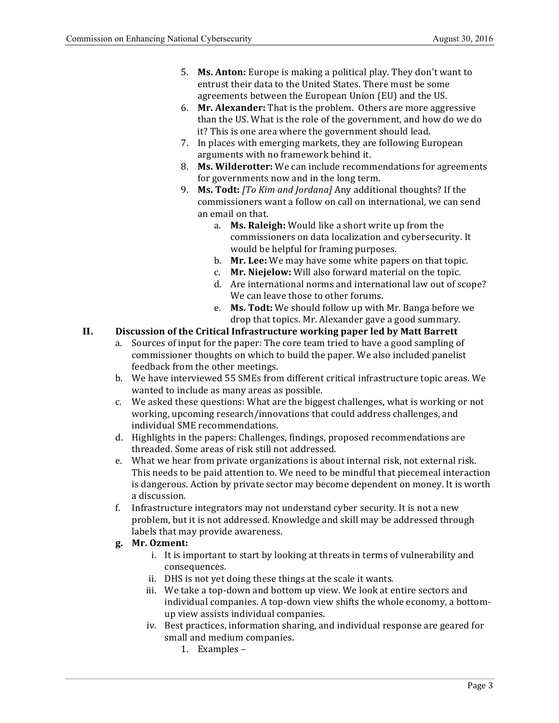- 5. **Ms. Anton:** Europe is making a political play. They don't want to entrust their data to the United States. There must be some agreements between the European Union (EU) and the US.
- 6. Mr. Alexander: That is the problem. Others are more aggressive than the US. What is the role of the government, and how do we do it? This is one area where the government should lead.
- 7. In places with emerging markets, they are following European arguments with no framework behind it.
- 8. **Ms. Wilderotter:** We can include recommendations for agreements for governments now and in the long term.
- 9. **Ms. Todt:** [To Kim and Jordana] Any additional thoughts? If the commissioners want a follow on call on international, we can send an email on that.
	- a. **Ms. Raleigh:** Would like a short write up from the would be helpful for framing purposes. commissioners on data localization and cybersecurity. It
	- b. **Mr. Lee:** We may have some white papers on that topic.
	- c. **Mr. Niejelow:** Will also forward material on the topic.
	- d. Are international norms and international law out of scope? We can leave those to other forums.
	- e. Ms. Todt: We should follow up with Mr. Banga before we drop that topics. Mr. Alexander gave a good summary.

### **II. Discussion of the Critical Infrastructure working paper led by Matt Barrett**

- a. Sources of input for the paper: The core team tried to have a good sampling of commissioner thoughts on which to build the paper. We also included panelist feedback from the other meetings.
- b. We have interviewed 55 SMEs from different critical infrastructure topic areas. We wanted to include as many areas as possible.
- c. We asked these questions: What are the biggest challenges, what is working or not working, upcoming research/innovations that could address challenges, and individual SME recommendations.
- d. Highlights in the papers: Challenges, findings, proposed recommendations are threaded. Some areas of risk still not addressed.
- e. What we hear from private organizations is about internal risk, not external risk. This needs to be paid attention to. We need to be mindful that piecemeal interaction is dangerous. Action by private sector may become dependent on money. It is worth a discussion.
- f. Infrastructure integrators may not understand cyber security. It is not a new labels that may provide awareness. problem, but it is not addressed. Knowledge and skill may be addressed through

### **g. Mr. Ozment:**

- i. It is important to start by looking at threats in terms of vulnerability and consequences.
- ii. DHS is not yet doing these things at the scale it wants.
- iii. We take a top-down and bottom up view. We look at entire sectors and individual companies. A top-down view shifts the whole economy, a bottomup view assists individual companies.
- iv. Best practices, information sharing, and individual response are geared for small and medium companies.
	- 1. Examples –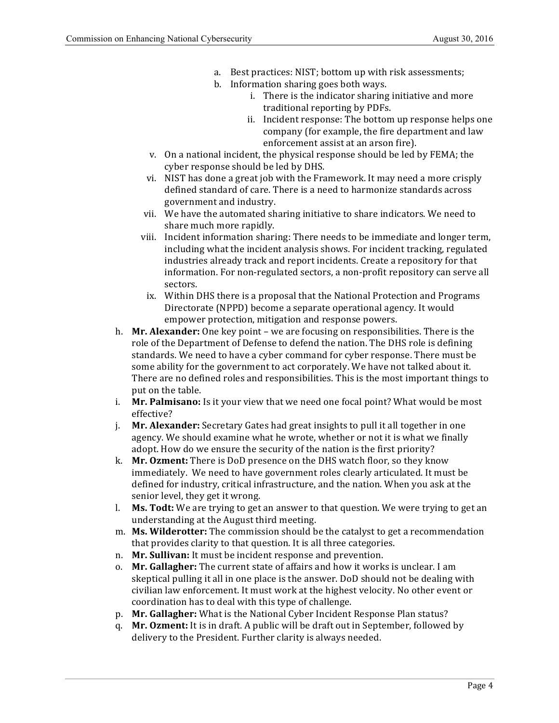- a. Best practices: NIST; bottom up with risk assessments;
- b. Information sharing goes both ways.
	- i. There is the indicator sharing initiative and more traditional reporting by PDFs.
	- ii. Incident response: The bottom up response helps one company (for example, the fire department and law enforcement assist at an arson fire).
- v. On a national incident, the physical response should be led by FEMA; the cyber response should be led by DHS.
- vi. NIST has done a great job with the Framework. It may need a more crisply defined standard of care. There is a need to harmonize standards across government and industry.
- vii. We have the automated sharing initiative to share indicators. We need to share much more rapidly.
- including what the incident analysis shows. For incident tracking, regulated industries already track and report incidents. Create a repository for that information. For non-regulated sectors, a non-profit repository can serve all viii. Incident information sharing: There needs to be immediate and longer term, sectors.
	- ix. Within DHS there is a proposal that the National Protection and Programs Directorate (NPPD) become a separate operational agency. It would empower protection, mitigation and response powers.
- h. Mr. Alexander: One key point we are focusing on responsibilities. There is the role of the Department of Defense to defend the nation. The DHS role is defining standards. We need to have a cyber command for cyber response. There must be some ability for the government to act corporately. We have not talked about it. There are no defined roles and responsibilities. This is the most important things to put on the table.
- i. **Mr. Palmisano:** Is it your view that we need one focal point? What would be most effective?
- j. **Mr. Alexander:** Secretary Gates had great insights to pull it all together in one agency. We should examine what he wrote, whether or not it is what we finally adopt. How do we ensure the security of the nation is the first priority?
- k. **Mr. Ozment:** There is DoD presence on the DHS watch floor, so they know immediately. We need to have government roles clearly articulated. It must be defined for industry, critical infrastructure, and the nation. When you ask at the senior level, they get it wrong.
- l. Ms. Todt: We are trying to get an answer to that question. We were trying to get an understanding at the August third meeting.
- m. Ms. Wilderotter: The commission should be the catalyst to get a recommendation that provides clarity to that question. It is all three categories.
- n. Mr. Sullivan: It must be incident response and prevention.
- o. **Mr. Gallagher:** The current state of affairs and how it works is unclear. I am skeptical pulling it all in one place is the answer. DoD should not be dealing with civilian law enforcement. It must work at the highest velocity. No other event or coordination has to deal with this type of challenge.
- p. Mr. Gallagher: What is the National Cyber Incident Response Plan status?
- q. **Mr. Ozment:** It is in draft. A public will be draft out in September, followed by delivery to the President. Further clarity is always needed.